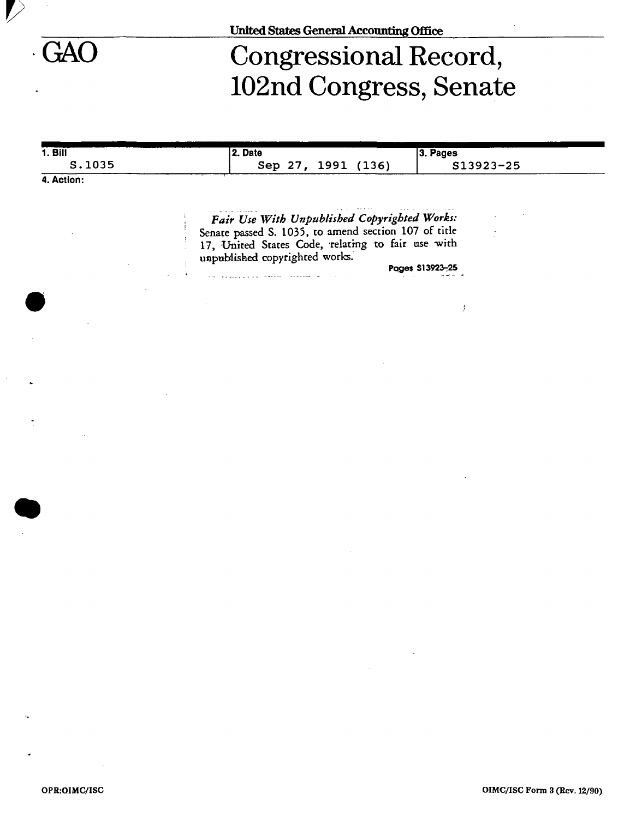*I* 

# GAO Congressional Record, 102nd Congress, Senate

| 1. <b>B</b> | 2. Date                                                                                                   | 3. Pages                                                                                                                                                                                                                                                                                                                                                                                                                                                    |
|-------------|-----------------------------------------------------------------------------------------------------------|-------------------------------------------------------------------------------------------------------------------------------------------------------------------------------------------------------------------------------------------------------------------------------------------------------------------------------------------------------------------------------------------------------------------------------------------------------------|
| S.1035      | Sep 27, 1991 (136)                                                                                        | S13923-25                                                                                                                                                                                                                                                                                                                                                                                                                                                   |
| 4. Action:  |                                                                                                           |                                                                                                                                                                                                                                                                                                                                                                                                                                                             |
|             |                                                                                                           |                                                                                                                                                                                                                                                                                                                                                                                                                                                             |
|             | Fair Use With Unpublished Copyrighted Works:                                                              |                                                                                                                                                                                                                                                                                                                                                                                                                                                             |
|             | Senate passed S. 1035, to amend section 107 of title<br>17, United States Code, relating to fair use with |                                                                                                                                                                                                                                                                                                                                                                                                                                                             |
|             | unpublished copyrighted works.                                                                            |                                                                                                                                                                                                                                                                                                                                                                                                                                                             |
|             | الكام الصفيفية والمستفقين المراد والمستردع والمتعارضية                                                    | Pages S13923-25                                                                                                                                                                                                                                                                                                                                                                                                                                             |
|             |                                                                                                           |                                                                                                                                                                                                                                                                                                                                                                                                                                                             |
|             |                                                                                                           | Ĵ.                                                                                                                                                                                                                                                                                                                                                                                                                                                          |
|             |                                                                                                           |                                                                                                                                                                                                                                                                                                                                                                                                                                                             |
|             |                                                                                                           |                                                                                                                                                                                                                                                                                                                                                                                                                                                             |
|             |                                                                                                           |                                                                                                                                                                                                                                                                                                                                                                                                                                                             |
|             |                                                                                                           |                                                                                                                                                                                                                                                                                                                                                                                                                                                             |
|             |                                                                                                           |                                                                                                                                                                                                                                                                                                                                                                                                                                                             |
|             |                                                                                                           |                                                                                                                                                                                                                                                                                                                                                                                                                                                             |
|             |                                                                                                           |                                                                                                                                                                                                                                                                                                                                                                                                                                                             |
|             |                                                                                                           |                                                                                                                                                                                                                                                                                                                                                                                                                                                             |
|             |                                                                                                           |                                                                                                                                                                                                                                                                                                                                                                                                                                                             |
|             |                                                                                                           |                                                                                                                                                                                                                                                                                                                                                                                                                                                             |
|             |                                                                                                           |                                                                                                                                                                                                                                                                                                                                                                                                                                                             |
|             |                                                                                                           |                                                                                                                                                                                                                                                                                                                                                                                                                                                             |
|             |                                                                                                           |                                                                                                                                                                                                                                                                                                                                                                                                                                                             |
|             |                                                                                                           |                                                                                                                                                                                                                                                                                                                                                                                                                                                             |
|             |                                                                                                           |                                                                                                                                                                                                                                                                                                                                                                                                                                                             |
|             |                                                                                                           |                                                                                                                                                                                                                                                                                                                                                                                                                                                             |
|             |                                                                                                           |                                                                                                                                                                                                                                                                                                                                                                                                                                                             |
|             |                                                                                                           |                                                                                                                                                                                                                                                                                                                                                                                                                                                             |
|             |                                                                                                           |                                                                                                                                                                                                                                                                                                                                                                                                                                                             |
|             |                                                                                                           |                                                                                                                                                                                                                                                                                                                                                                                                                                                             |
|             |                                                                                                           | $\mathcal{L}(\mathcal{L}(\mathcal{L}(\mathcal{L}(\mathcal{L}(\mathcal{L}(\mathcal{L}(\mathcal{L}(\mathcal{L}(\mathcal{L}(\mathcal{L}(\mathcal{L}(\mathcal{L}(\mathcal{L}(\mathcal{L}(\mathcal{L}(\mathcal{L}(\mathcal{L}(\mathcal{L}(\mathcal{L}(\mathcal{L}(\mathcal{L}(\mathcal{L}(\mathcal{L}(\mathcal{L}(\mathcal{L}(\mathcal{L}(\mathcal{L}(\mathcal{L}(\mathcal{L}(\mathcal{L}(\mathcal{L}(\mathcal{L}(\mathcal{L}(\mathcal{L}(\mathcal{L}(\mathcal{$ |
|             |                                                                                                           | $\mathcal{L}^{\text{max}}_{\text{max}}$ and $\mathcal{L}^{\text{max}}_{\text{max}}$                                                                                                                                                                                                                                                                                                                                                                         |
|             |                                                                                                           |                                                                                                                                                                                                                                                                                                                                                                                                                                                             |
|             |                                                                                                           |                                                                                                                                                                                                                                                                                                                                                                                                                                                             |
|             |                                                                                                           |                                                                                                                                                                                                                                                                                                                                                                                                                                                             |
|             |                                                                                                           |                                                                                                                                                                                                                                                                                                                                                                                                                                                             |
|             |                                                                                                           |                                                                                                                                                                                                                                                                                                                                                                                                                                                             |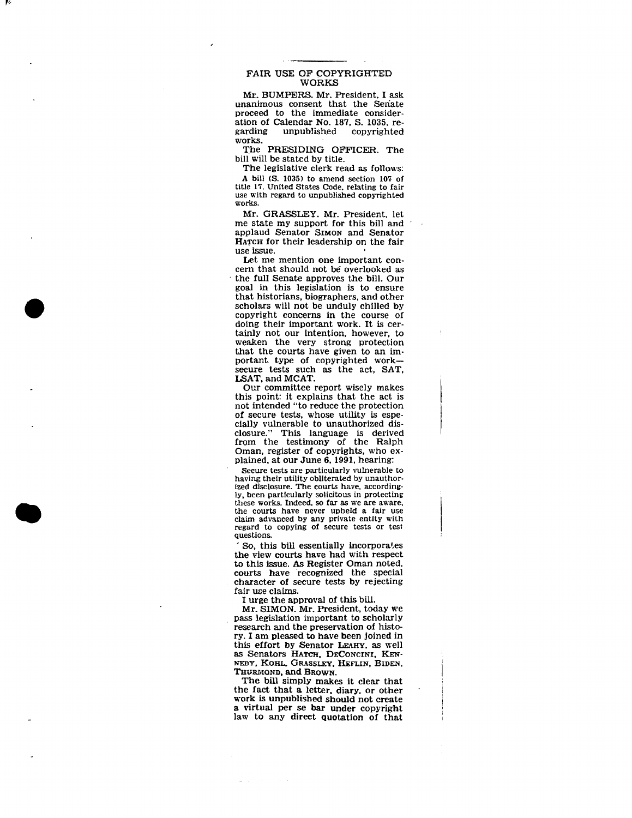# FAIR USE OP COPYRIGHTED WORKS

Mr. BUMPERS. Mr. President. I ask unanimous consent that the Seriate proceed to the immediate consideration of Calendar No. 187, S. 1035, reunpublished works.

The PRESIDING OFFICER. The bill will be stated by title.

The legislative clerk read as follows: A bill <S. 1035) to amend section 107 of title 17. United States Code, relating to fair use with regard to unpublished copyrighted works.

Mr. GRASSLEY. Mr. President, let me state my support for this bill and applaud Senator SIMON and Senator HATCH for their leadership on the fair use issue.

Let me mention one important concern that should not be overlooked as the full Senate approves the bill. Our goal in this legislation is to ensure that historians, biographers, and other scholars will not be unduly chilled by copyright concerns in the course of doing their important work. It is certainly not our intention, however, to weaken the very strong protection that the courts have given to an important type of copyrighted worksecure tests such as the act, SAT, LSAT, and MCAT.

Our committee report wisely makes this point: it explains that the act is not intended "to reduce the protection of secure tests, whose utility is especially vulnerable to unauthorized disclosure." This language is derived from the testimony of the Ralph Oman, register of copyrights, who explained, at our June 6,1991, hearing:

Secure tests are particularly vulnerable to having their utility obliterated by unauthorized disclosure. The courts have, accordingly, been particularly solicitous in protecting these works. Indeed, so far as we are aware, the courts have never upheld a fair use claim advanced by any private entity with regard to copying of secure tests or test questions.

So, this bill essentially incorporates the view courts have had with respect to this issue. As Register Oman noted, courts have recognized the special character of secure tests by rejecting fair use claims.

I urge the approval of this bill.

Mr. SIMON. Mr. President, today we pass legislation important to scholarly research and the preservation of history. I am pleased to have been joined in this effort by Senator LEAHY, as well as Senators HATCH, DECONCINI, KEN-NEDY, KOHL, GRASSLEY. HEFLIN, BIDEN. THURMOND, and BROWN.

The bill simply makes it clear that the fact that a letter, diary, or other work is unpublished should not create a virtual per se bar under copyright law to any direct quotation of that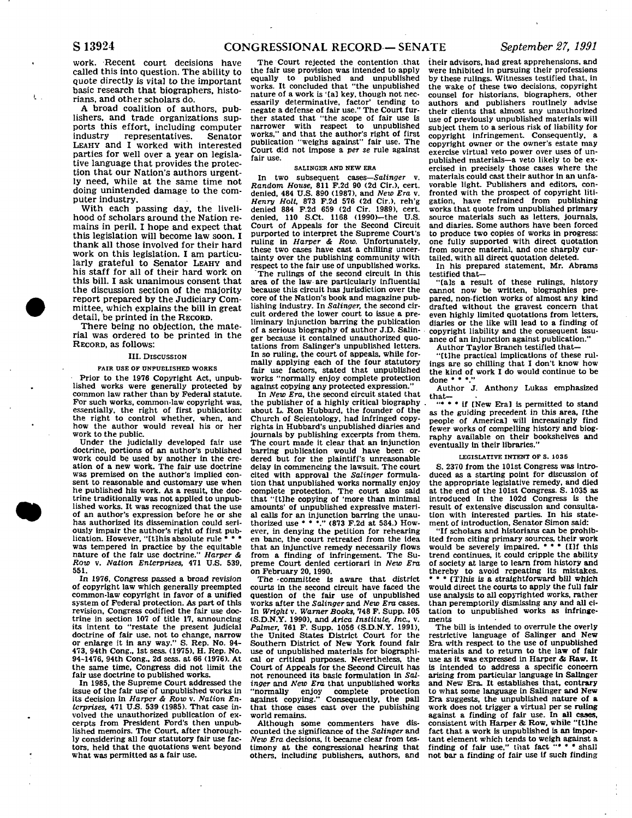**work. Recent court decisions have called this into question. The ability to**  quote directly is vital to the important **basic research that biographers, histo**rians, and other scholars do.

**A broad coalition of authors, publishers, and trade organizations supports this effort, including computer industry representatives. Senator LEAHY and I worked with interested parties for well over a year on legisla**tive language that provides the protec**tion that our Nation's authors urgent**ly need, while at the same time not **doing unintended damage to the computer industry.** 

**With each passing day, the livelihood of scholars around the Nation re**mains in peril. I hope and expect that **this legislation will become law soon. I thank all thos e involved for their hard work on this legislation. I am particu**larly grateful to Senator LEAHY and **his staff for all of their hard work on**  this bill. I ask unanimous consent that **t he discussion section of the majority report prepared by the Judiciary Committee, which explains the bill in great detail, be printed in the RECORD.** 

**Ther e being no objection, the material was ordered to be printed in the RECORD, as follows:** 

#### **III. DISCUSSION**

### **PAIR USE OF UNPUBLISHED WORKS**

**Prior to the 1976 Copyright Act, unpublished works were generally protected by**  common law rather than by Federal statute. **For such works, common-law copyright was, essentially, the right of first publication: the right to control whether, when, and how the author would reveal his or her work to the public.** 

**Under the judicially developed fair use doctrine, portions of an author's published work could be used by another in the creation of a new work. The fair use doctrine was premised on the author's implied consent to reasonable and customary use when he published his work. As a result, the doctrine traditionally was not applied to unpublished works. It was recognized that the use of an author's expression before he or she has authorized its dissemination could seriously impair the author's right of first pub**lication. However, "[t]his absolute rule **• was tempered in practice by the equitable nature of the fair use doctrine."** *Harper & Row* **v.** *Nation Enterprises,* **471 U.S. 539, 551.** 

**In 1976, Congress passed a bread revision of copyright law which generally preempted common-law copyright in favor of a unified system of Federal protection. As part of this revision. Congress codified the fair use doctrine in section 107 of title 17. announcing its intent to "restate the present judicial doctrine of fair use. not to change, narrow or enlarge it in any way." S. Rep. No. 94- 473, 94th Cong., 1st sess. (1975). H. Rep. No. 94-1476, 94th Cong., 2d sess. at 66 (1976). At the same time. Congress did not limit the fair use doctrine to published works.** 

**In 1985, the Supreme Court addressed the issue of the fair use of unpublished works in its decision in** *Harper & Row* **v.** *Nation Enterprises,* **471 U.S. 539 (1985). That case involved the unauthorized publication of excerpts from President Ford's then unpublished memoirs. The Court, after thoroughly considering all four statutory fair use factors, held that the quotations went beyond what was permitted as a fair use.** 

**The Court rejected the contention that the fair use provision was intended to apply equally to published and unpublished works. It concluded that "the unpublished nature of a work is 'tal key, though not nec-essarily determinative, factor' tending to negate a defense of fair use." The Court further stated that "the scope of fair use is narrower with respect to unpublished works," and that the author's right of first publication '"weighs against" fair use. The Court did not impose a per** *se* **rule against fair use.** 

#### **SALINGER AND NEW ERA**

**In two subsequent cases—***Salinger* **v.**  *Random House,* **811 F.2d 90 (2d Cir.), cert, denied, 484 U.S. 890 (1987), and** *New Era* **v.**  *Henry Holt,* **873 F.2d 576 (2d Cir.), reh'g denied 884 F.2d 659 (2d Cir. 1989), cert, denied, 110 S.Ct. 1168 (1990)-the U.S. Court of Appeals for the Second Circuit purported to interpret the Supreme Court's ruling in** *Harper & Row.* **Unfortunately, these two cases have cast a chilling uncertainty over the publishing community with respect to the fair use of unpublished works.** 

**"The rulings of the second circuit in this area of the law are particularly influential because this circuit has jurisdiction over the core of the Nation's book and magazine publishing Industry. In** *Salinger,* **the second circuit ordered the lower court to issue a preliminary injunction barring the publication of a serious biography of author J.D. Salinger because it contained unauthorized quotations from Salinger's unpublished letters. In so ruling, the court of appeals, while formally applying each of the four statutory fair use factors, stated that unpublished works "normally enjoy complete protection against copying any protected expression."** 

In New Era, the second circuit stated that **the publisher of a highly critical biography . about L. Ron Hubbard, the founder of the Church of Scientology, had infringed copyrights in Hubbard's unpublished diaries and journals by publishing excerpts from them. The court made it clear that an Injunction barring publication would have been ordered but for the plaintiff's unreasonable delay In commencing the lawsuit. The court cited with approval the** *Salinger* **formulation that unpublished works normally enjoy complete protection. The court also said that "ttlhe copying of 'more than minimal amounts' of unpublished expressive material calls for an injunction barring the unau-thorized use • • •." (873 F.2d at 534.) However, in denying the petition for rehearing en banc, the court retreated from the idea that an injunctive remedy necessarily flows from a finding of Infringement. The Supreme Court denied certiorari in** *New Era*  **on February 20, 1990.** 

**The -committee is aware that district courts In the second circuit have faced the question of the fair use of unpublished works after the** *Salinger* **and** *New Era* **cases. In** *Wright* **v. Warner** *Books,* **748 F. Supp. 105 (S.D.N.Y. 1990), and** *Arica Institute, Inc.,* **v.**  *Palmer,* **761 F. Supp. 1056 (S.D.N.Y. 1991), the United States District Court for the Southern District of New York found fair use of unpublished materials for biographical or critical purposes. Nevertheless, the Court of Appeals for the Second Circuit has not renounced its basic formulation in** *Salinger* **and** *New Era* **that unpublished works "normally enjoy complete protection against copying." Consequently, the pall that those cases cast over the publishing world remains.** 

**Although some commenters have discounted the significance of the** *Salinger* **and**  *New Era* **decisions, it became clear from testimony at the congressional hearing that others, including publishers, authors, and** 

**their advisors, had great apprehensions, and were inhibited in pursuing their professions by these rulings. Witnesses testified that, in the wake of these two decisions, copyright counsel for historians, biographers, other authors and publishers routinely advise their clients that almost any unauthorized use of previously unpublished materials will subject them to a serious risk of liability for copyright infringement. Consequently, a copyright owner or the owner's estate may exercise virtual veto power over uses of unpublished materials—a veto likely to be ex-ercised in precisely those cases where the materials could cast their author in an unfavorable light. Publishers and editors, confronted with the prospect of copyright litigation, have refrained from publishing works that quote from unpublished primary source materials such as letters, journals, and diaries. Some authors have been forced to produce two copies of works in progress: one fully supported with direct quotation**<br> **one fully supported with direct quotation** from source material, and one sharply curtailed, with all direct quotation deleted.

**In his prepared statement, Mr. Abrams testified that—** 

**"Cals a result of these rulings, history cannot now be written, biographies pre-pared, non-fiction works of almost any kind drafted without the gravest concern that even highly limited quotations from letters, diaries or the like will lead to a finding of copyright liability and the consequent issuance of an injunction against publication."** 

**Author Taylor Branch testified that—** 

**"Ctlhe practical implications of these rulings are so chilling that I don't know how the kind of work I do would continue to be done ' ' \*."** 

**Author J. Anthony Lukas emphasized that—** 

**"• • • if [New Era] is permitted to stand as the guiding precedent in this area, [the**  people of Americal will increasingly **fewer works of compelling history and biography available on their bookshelves and eventually in their libraries."** 

### **LEGISLATIVE INTENT OF S. 103 5**

**S. 2370 from the 101st Congress was introduced as a starting point for discussion of the appropriate legislative remedy, and died at the end of the 101st Congress. S. 1035 as introduced in the 102d Congress is the result of extensive discussion and consultation with interested parties. In his statement of introduction, Senator Simon said:** 

**"If scholars and historians can be prohibited from citing primary sources, their work would be severely impaired. • • • tllf this trend continues, it could cripple the ability of society at large to learn from history and thereby to avoid repeating its mistakes. • • • CTlhis is a straightforward bill which would direct the courts to apply the full fair use analysis to all copyrighted works, rather than peremptorily dismissing any and all citation to unpublished works as infringements** 

**The bill is intended to overrule the overly restrictive language of Salinger and New Era with respect to the use of unpublished materials and to return to the law of fair use as it was expressed in Harper** *&* **Raw. It is intended to address a specific concern arising from particular language In Salinger and New Era. It establishes that, contrary to what some language in Salinger and New Era suggests, the unpublished nature of a work does not trigger a virtual per se ruling against a finding of fair use. In all cases, consistent with Harper & Row, while "ttlhe fact that a work is unpublished is an important element which tends to weigh against a finding of fair use," that fact "• • • shall not bar a finding of fair use If such finding** 

 $\mathbf{L}$  .